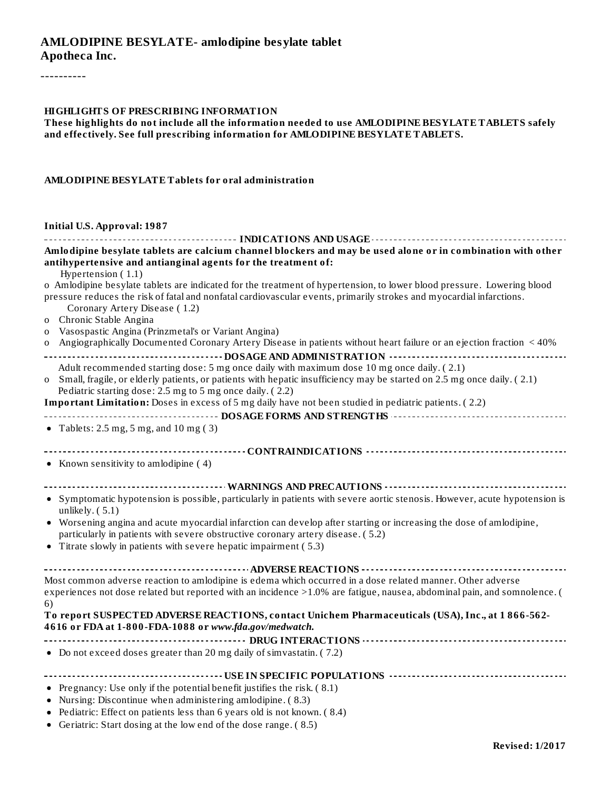#### **AMLODIPINE BESYLATE- amlodipine besylate tablet Apotheca Inc.**

----------

#### **HIGHLIGHTS OF PRESCRIBING INFORMATION**

| These highlights do not include all the information needed to use AMLODIPINE BESYLATE TABLETS safely |
|------------------------------------------------------------------------------------------------------|
| and effectively. See full prescribing information for AMLODIPINE BESYLATE TABLETS.                   |

#### **AMLODIPINE BESYLATE Tablets for oral administration**

#### **Initial U.S. Approval: 1987**

| Amlodipine besylate tablets are calcium channel blockers and may be used alone or in combination with other<br>antihypertensive and antianginal agents for the treatment of:                                                                 |
|----------------------------------------------------------------------------------------------------------------------------------------------------------------------------------------------------------------------------------------------|
| Hypertension (1.1)                                                                                                                                                                                                                           |
| o Amlodipine besylate tablets are indicated for the treatment of hypertension, to lower blood pressure. Lowering blood                                                                                                                       |
| pressure reduces the risk of fatal and nonfatal cardiovascular events, primarily strokes and myocardial infarctions.<br>Coronary Artery Disease (1.2)                                                                                        |
| Chronic Stable Angina<br>$\mathbf 0$                                                                                                                                                                                                         |
| Vasospastic Angina (Prinzmetal's or Variant Angina)<br>$\mathbf 0$                                                                                                                                                                           |
| Angiographically Documented Coronary Artery Disease in patients without heart failure or an ejection fraction < 40%<br>$\mathbf 0$                                                                                                           |
|                                                                                                                                                                                                                                              |
| Adult recommended starting dose: 5 mg once daily with maximum dose 10 mg once daily. (2.1)                                                                                                                                                   |
| o Small, fragile, or elderly patients, or patients with hepatic insufficiency may be started on 2.5 mg once daily. (2.1)<br>Pediatric starting dose: 2.5 mg to 5 mg once daily. (2.2)                                                        |
| Important Limitation: Doses in excess of 5 mg daily have not been studied in pediatric patients. (2.2)                                                                                                                                       |
|                                                                                                                                                                                                                                              |
| • Tablets: $2.5$ mg, $5$ mg, and $10$ mg $(3)$                                                                                                                                                                                               |
|                                                                                                                                                                                                                                              |
| • Known sensitivity to amlodipine (4)                                                                                                                                                                                                        |
|                                                                                                                                                                                                                                              |
| • Symptomatic hypotension is possible, particularly in patients with severe aortic stenosis. However, acute hypotension is<br>unlikely. $(5.1)$                                                                                              |
| • Worsening angina and acute myocardial infarction can develop after starting or increasing the dose of amlodipine,<br>particularly in patients with severe obstructive coronary artery disease. (5.2)                                       |
| • Titrate slowly in patients with severe hepatic impairment (5.3)                                                                                                                                                                            |
|                                                                                                                                                                                                                                              |
| Most common adverse reaction to amlodipine is edema which occurred in a dose related manner. Other adverse<br>experiences not dose related but reported with an incidence >1.0% are fatigue, nausea, abdominal pain, and somnolence. (<br>6) |
| To report SUSPECTED ADVERSE REACTIONS, contact Unichem Pharmaceuticals (USA), Inc., at 1866-562-<br>4616 or FDA at 1-800-FDA-1088 or www.fda.gov/medwatch.                                                                                   |
|                                                                                                                                                                                                                                              |
|                                                                                                                                                                                                                                              |
| • Do not exceed doses greater than 20 mg daily of simvastatin. (7.2)                                                                                                                                                                         |
|                                                                                                                                                                                                                                              |
| • Pregnancy: Use only if the potential benefit justifies the risk. (8.1)                                                                                                                                                                     |
| • Nursing: Discontinue when administering amlodipine. (8.3)                                                                                                                                                                                  |
| Pediatric: Effect on patients less than 6 years old is not known. (8.4)                                                                                                                                                                      |
| $C$ orientation Start decided at the low and of the december $(0, \Gamma)$                                                                                                                                                                   |

Geriatric: Start dosing at the low end of the dose range. ( 8.5)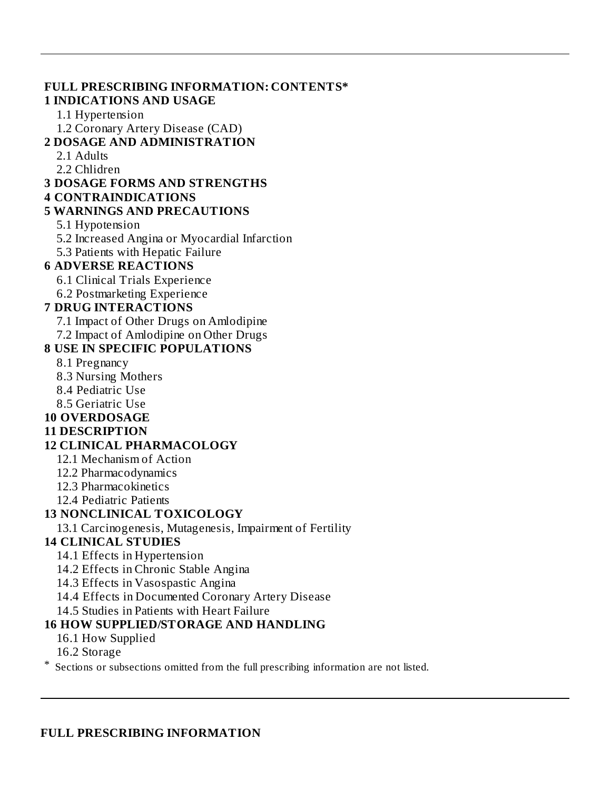#### **FULL PRESCRIBING INFORMATION: CONTENTS\* 1 INDICATIONS AND USAGE** 1.1 Hypertension 1.2 Coronary Artery Disease (CAD) **2 DOSAGE AND ADMINISTRATION** 2.1 Adults 2.2 Chlidren **3 DOSAGE FORMS AND STRENGTHS 4 CONTRAINDICATIONS 5 WARNINGS AND PRECAUTIONS** 5.1 Hypotension 5.2 Increased Angina or Myocardial Infarction 5.3 Patients with Hepatic Failure **6 ADVERSE REACTIONS** 6.1 Clinical Trials Experience 6.2 Postmarketing Experience **7 DRUG INTERACTIONS** 7.1 Impact of Other Drugs on Amlodipine 7.2 Impact of Amlodipine on Other Drugs **8 USE IN SPECIFIC POPULATIONS** 8.1 Pregnancy 8.3 Nursing Mothers 8.4 Pediatric Use 8.5 Geriatric Use **10 OVERDOSAGE 11 DESCRIPTION 12 CLINICAL PHARMACOLOGY** 12.1 Mechanism of Action 12.2 Pharmacodynamics 12.3 Pharmacokinetics 12.4 Pediatric Patients **13 NONCLINICAL TOXICOLOGY** 13.1 Carcinogenesis, Mutagenesis, Impairment of Fertility **14 CLINICAL STUDIES** 14.1 Effects in Hypertension 14.2 Effects in Chronic Stable Angina 14.3 Effects in Vasospastic Angina 14.4 Effects in Documented Coronary Artery Disease 14.5 Studies in Patients with Heart Failure **16 HOW SUPPLIED/STORAGE AND HANDLING** 16.1 How Supplied 16.2 Storage

\* Sections or subsections omitted from the full prescribing information are not listed.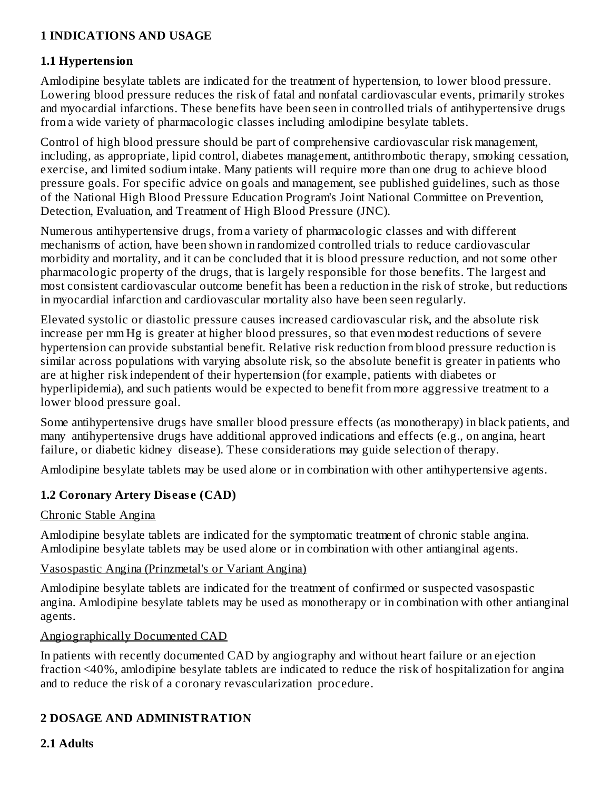# **1 INDICATIONS AND USAGE**

# **1.1 Hypertension**

Amlodipine besylate tablets are indicated for the treatment of hypertension, to lower blood pressure. Lowering blood pressure reduces the risk of fatal and nonfatal cardiovascular events, primarily strokes and myocardial infarctions. These benefits have been seen in controlled trials of antihypertensive drugs from a wide variety of pharmacologic classes including amlodipine besylate tablets.

Control of high blood pressure should be part of comprehensive cardiovascular risk management, including, as appropriate, lipid control, diabetes management, antithrombotic therapy, smoking cessation, exercise, and limited sodium intake. Many patients will require more than one drug to achieve blood pressure goals. For specific advice on goals and management, see published guidelines, such as those of the National High Blood Pressure Education Program's Joint National Committee on Prevention, Detection, Evaluation, and Treatment of High Blood Pressure (JNC).

Numerous antihypertensive drugs, from a variety of pharmacologic classes and with different mechanisms of action, have been shown in randomized controlled trials to reduce cardiovascular morbidity and mortality, and it can be concluded that it is blood pressure reduction, and not some other pharmacologic property of the drugs, that is largely responsible for those benefits. The largest and most consistent cardiovascular outcome benefit has been a reduction in the risk of stroke, but reductions in myocardial infarction and cardiovascular mortality also have been seen regularly.

Elevated systolic or diastolic pressure causes increased cardiovascular risk, and the absolute risk increase per mm Hg is greater at higher blood pressures, so that even modest reductions of severe hypertension can provide substantial benefit. Relative risk reduction from blood pressure reduction is similar across populations with varying absolute risk, so the absolute benefit is greater in patients who are at higher risk independent of their hypertension (for example, patients with diabetes or hyperlipidemia), and such patients would be expected to benefit from more aggressive treatment to a lower blood pressure goal.

Some antihypertensive drugs have smaller blood pressure effects (as monotherapy) in black patients, and many antihypertensive drugs have additional approved indications and effects (e.g., on angina, heart failure, or diabetic kidney disease). These considerations may guide selection of therapy.

Amlodipine besylate tablets may be used alone or in combination with other antihypertensive agents.

# **1.2 Coronary Artery Dis eas e (CAD)**

# Chronic Stable Angina

Amlodipine besylate tablets are indicated for the symptomatic treatment of chronic stable angina. Amlodipine besylate tablets may be used alone or in combination with other antianginal agents.

# Vasospastic Angina (Prinzmetal's or Variant Angina)

Amlodipine besylate tablets are indicated for the treatment of confirmed or suspected vasospastic angina. Amlodipine besylate tablets may be used as monotherapy or in combination with other antianginal agents.

# Angiographically Documented CAD

In patients with recently documented CAD by angiography and without heart failure or an ejection fraction <40%, amlodipine besylate tablets are indicated to reduce the risk of hospitalization for angina and to reduce the risk of a coronary revascularization procedure.

# **2 DOSAGE AND ADMINISTRATION**

# **2.1 Adults**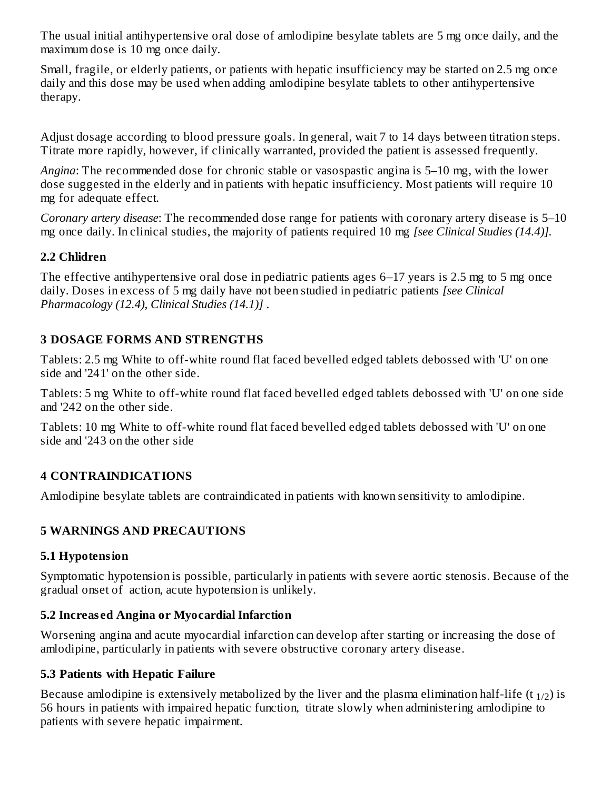The usual initial antihypertensive oral dose of amlodipine besylate tablets are 5 mg once daily, and the maximum dose is 10 mg once daily.

Small, fragile, or elderly patients, or patients with hepatic insufficiency may be started on 2.5 mg once daily and this dose may be used when adding amlodipine besylate tablets to other antihypertensive therapy.

Adjust dosage according to blood pressure goals. In general, wait 7 to 14 days between titration steps. Titrate more rapidly, however, if clinically warranted, provided the patient is assessed frequently.

*Angina*: The recommended dose for chronic stable or vasospastic angina is 5–10 mg, with the lower dose suggested in the elderly and in patients with hepatic insufficiency. Most patients will require 10 mg for adequate effect.

*Coronary artery disease*: The recommended dose range for patients with coronary artery disease is 5–10 mg once daily. In clinical studies, the majority of patients required 10 mg *[see Clinical Studies (14.4)].*

### **2.2 Chlidren**

The effective antihypertensive oral dose in pediatric patients ages 6–17 years is 2.5 mg to 5 mg once daily. Doses in excess of 5 mg daily have not been studied in pediatric patients *[see Clinical Pharmacology (12.4), Clinical Studies (14.1)]* .

### **3 DOSAGE FORMS AND STRENGTHS**

Tablets: 2.5 mg White to off-white round flat faced bevelled edged tablets debossed with 'U' on one side and '241' on the other side.

Tablets: 5 mg White to off-white round flat faced bevelled edged tablets debossed with 'U' on one side and '242 on the other side.

Tablets: 10 mg White to off-white round flat faced bevelled edged tablets debossed with 'U' on one side and '243 on the other side

# **4 CONTRAINDICATIONS**

Amlodipine besylate tablets are contraindicated in patients with known sensitivity to amlodipine.

#### **5 WARNINGS AND PRECAUTIONS**

#### **5.1 Hypotension**

Symptomatic hypotension is possible, particularly in patients with severe aortic stenosis. Because of the gradual onset of action, acute hypotension is unlikely.

#### **5.2 Increas ed Angina or Myocardial Infarction**

Worsening angina and acute myocardial infarction can develop after starting or increasing the dose of amlodipine, particularly in patients with severe obstructive coronary artery disease.

#### **5.3 Patients with Hepatic Failure**

Because amlodipine is extensively metabolized by the liver and the plasma elimination half-life (t  $_{1/2}$ ) is 56 hours in patients with impaired hepatic function, titrate slowly when administering amlodipine to patients with severe hepatic impairment.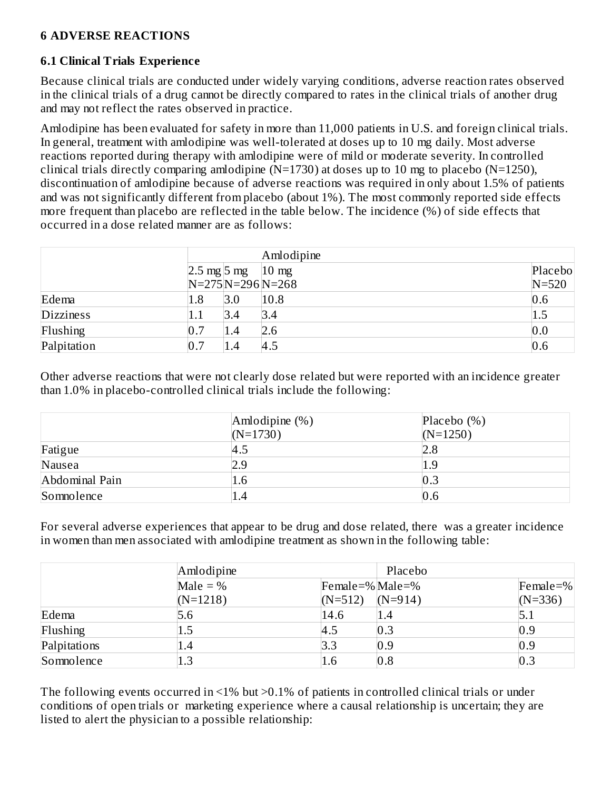### **6 ADVERSE REACTIONS**

# **6.1 Clinical Trials Experience**

Because clinical trials are conducted under widely varying conditions, adverse reaction rates observed in the clinical trials of a drug cannot be directly compared to rates in the clinical trials of another drug and may not reflect the rates observed in practice.

Amlodipine has been evaluated for safety in more than 11,000 patients in U.S. and foreign clinical trials. In general, treatment with amlodipine was well-tolerated at doses up to 10 mg daily. Most adverse reactions reported during therapy with amlodipine were of mild or moderate severity. In controlled clinical trials directly comparing amlodipine ( $N=1730$ ) at doses up to 10 mg to placebo ( $N=1250$ ), discontinuation of amlodipine because of adverse reactions was required in only about 1.5% of patients and was not significantly different from placebo (about 1%). The most commonly reported side effects more frequent than placebo are reflected in the table below. The incidence (%) of side effects that occurred in a dose related manner are as follows:

|                  |                                                 |     | Amlodipine              |         |
|------------------|-------------------------------------------------|-----|-------------------------|---------|
|                  | $\vert 2.5 \text{ mg} \vert 5 \text{ mg} \vert$ |     | $10 \text{ mg}$         | Placebo |
|                  |                                                 |     | $N = 275N = 296N = 268$ | $N=520$ |
| Edema            | $1.8\,$                                         | 3.0 | 10.8                    | 0.6     |
| <b>Dizziness</b> | $1.1\,$                                         | 3.4 | 3.4                     | 1.5     |
| Flushing         | 0.7                                             | 1.4 | 2.6                     | 0.0     |
| Palpitation      | 0.7                                             | 1.4 | 4.5                     | 0.6     |

Other adverse reactions that were not clearly dose related but were reported with an incidence greater than 1.0% in placebo-controlled clinical trials include the following:

|                | Amlodipine $(\%)$<br>$(N=1730)$ | Placebo $(\%)$<br>$(N=1250)$ |
|----------------|---------------------------------|------------------------------|
| Fatigue        | 4.5                             | 2.8                          |
| Nausea         | 2.9                             | 1.9                          |
| Abdominal Pain | 1.6                             | 0.3                          |
| Somnolence     | 1.4                             | 0.6                          |

For several adverse experiences that appear to be drug and dose related, there was a greater incidence in women than men associated with amlodipine treatment as shown in the following table:

|              | Amlodipine | Placebo<br>Male = $\%$<br>Female=% $Male=$ =% |           |                   |
|--------------|------------|-----------------------------------------------|-----------|-------------------|
|              |            |                                               |           | $Female=$ %       |
|              | $(N=1218)$ | $(N=512)$                                     | $(N=914)$ | $(N=336)$         |
| Edema        | 5.6        | 14.6                                          | 1.4       | 5.1               |
| Flushing     | 1.5        | 4.5                                           | 0.3       | 0.9               |
| Palpitations | 1.4        | 3.3                                           | 0.9       | $\vert 0.9 \vert$ |
| Somnolence   | 1.3        | 1.6                                           | 0.8       | 0.3               |

The following events occurred in <1% but >0.1% of patients in controlled clinical trials or under conditions of open trials or marketing experience where a causal relationship is uncertain; they are listed to alert the physician to a possible relationship: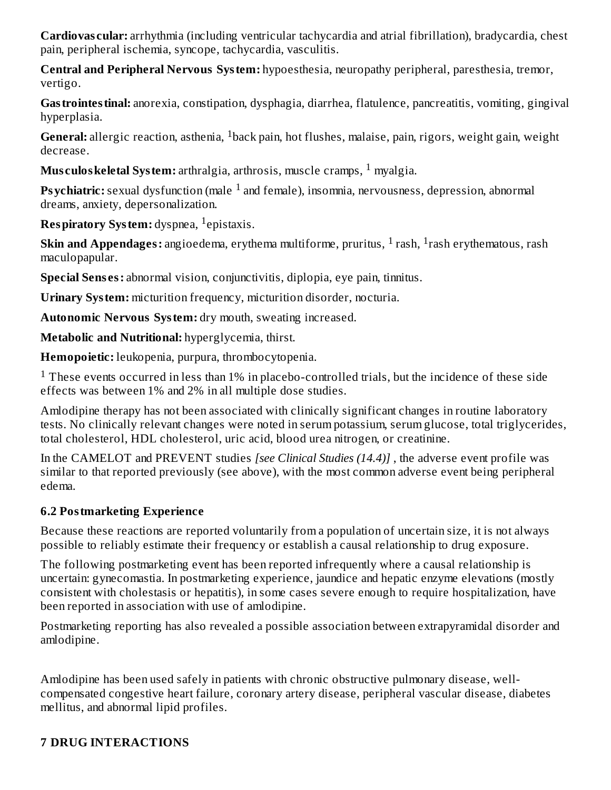**Cardiovas cular:** arrhythmia (including ventricular tachycardia and atrial fibrillation), bradycardia, chest pain, peripheral ischemia, syncope, tachycardia, vasculitis.

**Central and Peripheral Nervous System:** hypoesthesia, neuropathy peripheral, paresthesia, tremor, vertigo.

Gastrointestinal: anorexia, constipation, dysphagia, diarrhea, flatulence, pancreatitis, vomiting, gingival hyperplasia.

**General:** allergic reaction, asthenia, <sup>1</sup>back pain, hot flushes, malaise, pain, rigors, weight gain, weight decrease.

**Musculoskeletal System:** arthralgia, arthrosis, muscle cramps, <sup>1</sup> myalgia.

**Psychiatric:** sexual dysfunction (male <sup>1</sup> and female), insomnia, nervousness, depression, abnormal dreams, anxiety, depersonalization.

**Respiratory System:** dyspnea, <sup>1</sup>epistaxis.

 ${\bf Skin}$  and  ${\bf Appendix:}$  angioedema, erythema multiforme, pruritus, <sup>1</sup> rash, <sup>1</sup>rash erythematous, rash maculopapular.

**Special Sens es:** abnormal vision, conjunctivitis, diplopia, eye pain, tinnitus.

**Urinary System:** micturition frequency, micturition disorder, nocturia.

**Autonomic Nervous System:** dry mouth, sweating increased.

**Metabolic and Nutritional:** hyperglycemia, thirst.

**Hemopoietic:** leukopenia, purpura, thrombocytopenia.

 $1$  These events occurred in less than  $1\%$  in placebo-controlled trials, but the incidence of these side effects was between 1% and 2% in all multiple dose studies.

Amlodipine therapy has not been associated with clinically significant changes in routine laboratory tests. No clinically relevant changes were noted in serum potassium, serum glucose, total triglycerides, total cholesterol, HDL cholesterol, uric acid, blood urea nitrogen, or creatinine.

In the CAMELOT and PREVENT studies *[see Clinical Studies (14.4)]* , the adverse event profile was similar to that reported previously (see above), with the most common adverse event being peripheral edema.

# **6.2 Postmarketing Experience**

Because these reactions are reported voluntarily from a population of uncertain size, it is not always possible to reliably estimate their frequency or establish a causal relationship to drug exposure.

The following postmarketing event has been reported infrequently where a causal relationship is uncertain: gynecomastia. In postmarketing experience, jaundice and hepatic enzyme elevations (mostly consistent with cholestasis or hepatitis), in some cases severe enough to require hospitalization, have been reported in association with use of amlodipine.

Postmarketing reporting has also revealed a possible association between extrapyramidal disorder and amlodipine.

Amlodipine has been used safely in patients with chronic obstructive pulmonary disease, wellcompensated congestive heart failure, coronary artery disease, peripheral vascular disease, diabetes mellitus, and abnormal lipid profiles.

# **7 DRUG INTERACTIONS**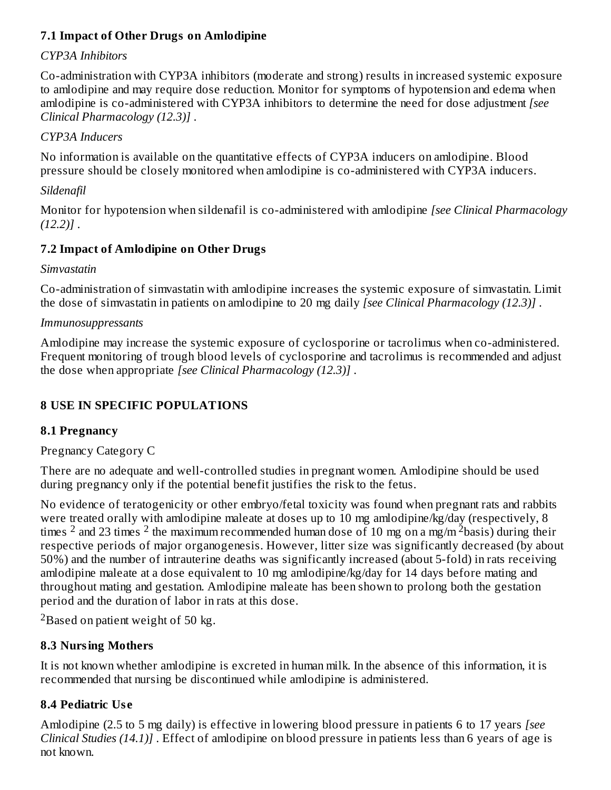# **7.1 Impact of Other Drugs on Amlodipine**

### *CYP3A Inhibitors*

Co-administration with CYP3A inhibitors (moderate and strong) results in increased systemic exposure to amlodipine and may require dose reduction. Monitor for symptoms of hypotension and edema when amlodipine is co-administered with CYP3A inhibitors to determine the need for dose adjustment *[see Clinical Pharmacology (12.3)]* .

### *CYP3A Inducers*

No information is available on the quantitative effects of CYP3A inducers on amlodipine. Blood pressure should be closely monitored when amlodipine is co-administered with CYP3A inducers.

# *Sildenafil*

Monitor for hypotension when sildenafil is co-administered with amlodipine *[see Clinical Pharmacology (12.2)]* .

# **7.2 Impact of Amlodipine on Other Drugs**

### *Simvastatin*

Co-administration of simvastatin with amlodipine increases the systemic exposure of simvastatin. Limit the dose of simvastatin in patients on amlodipine to 20 mg daily *[see Clinical Pharmacology (12.3)]* .

### *Immunosuppressants*

Amlodipine may increase the systemic exposure of cyclosporine or tacrolimus when co-administered. Frequent monitoring of trough blood levels of cyclosporine and tacrolimus is recommended and adjust the dose when appropriate *[see Clinical Pharmacology (12.3)]* .

# **8 USE IN SPECIFIC POPULATIONS**

# **8.1 Pregnancy**

# Pregnancy Category C

There are no adequate and well-controlled studies in pregnant women. Amlodipine should be used during pregnancy only if the potential benefit justifies the risk to the fetus.

No evidence of teratogenicity or other embryo/fetal toxicity was found when pregnant rats and rabbits were treated orally with amlodipine maleate at doses up to 10 mg amlodipine/kg/day (respectively, 8 times <sup>2</sup> and 23 times <sup>2</sup> the maximum recommended human dose of 10 mg on a mg/m  $2$ basis) during their respective periods of major organogenesis. However, litter size was significantly decreased (by about 50%) and the number of intrauterine deaths was significantly increased (about 5-fold) in rats receiving amlodipine maleate at a dose equivalent to 10 mg amlodipine/kg/day for 14 days before mating and throughout mating and gestation. Amlodipine maleate has been shown to prolong both the gestation period and the duration of labor in rats at this dose.

 $2$ Based on patient weight of 50 kg.

# **8.3 Nursing Mothers**

It is not known whether amlodipine is excreted in human milk. In the absence of this information, it is recommended that nursing be discontinued while amlodipine is administered.

# **8.4 Pediatric Us e**

Amlodipine (2.5 to 5 mg daily) is effective in lowering blood pressure in patients 6 to 17 years *[see Clinical Studies (14.1)]* . Effect of amlodipine on blood pressure in patients less than 6 years of age is not known.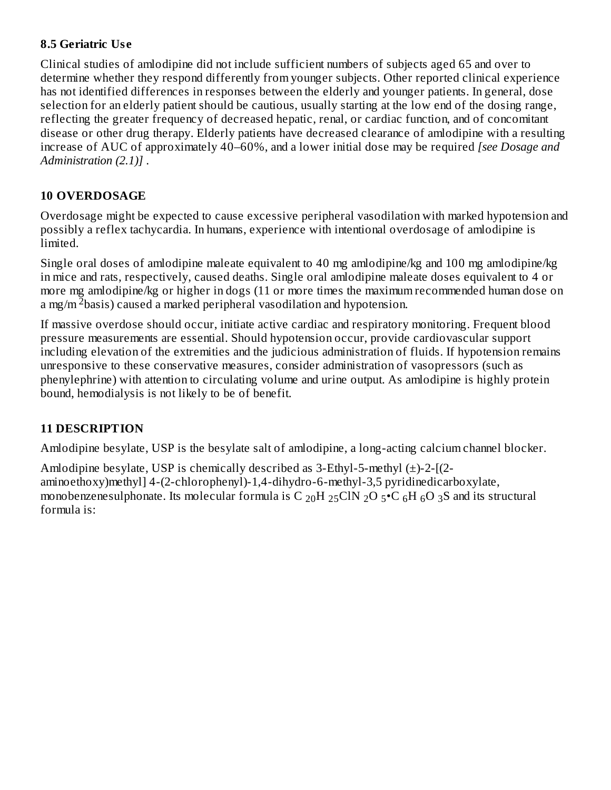### **8.5 Geriatric Us e**

Clinical studies of amlodipine did not include sufficient numbers of subjects aged 65 and over to determine whether they respond differently from younger subjects. Other reported clinical experience has not identified differences in responses between the elderly and younger patients. In general, dose selection for an elderly patient should be cautious, usually starting at the low end of the dosing range, reflecting the greater frequency of decreased hepatic, renal, or cardiac function, and of concomitant disease or other drug therapy. Elderly patients have decreased clearance of amlodipine with a resulting increase of AUC of approximately 40–60%, and a lower initial dose may be required *[see Dosage and Administration (2.1)]* .

### **10 OVERDOSAGE**

Overdosage might be expected to cause excessive peripheral vasodilation with marked hypotension and possibly a reflex tachycardia. In humans, experience with intentional overdosage of amlodipine is limited.

Single oral doses of amlodipine maleate equivalent to 40 mg amlodipine/kg and 100 mg amlodipine/kg in mice and rats, respectively, caused deaths. Single oral amlodipine maleate doses equivalent to 4 or more mg amlodipine/kg or higher in dogs (11 or more times the maximum recommended human dose on a mg/m  $\frac{1}{2}$ basis) caused a marked peripheral vasodilation and hypotension.

If massive overdose should occur, initiate active cardiac and respiratory monitoring. Frequent blood pressure measurements are essential. Should hypotension occur, provide cardiovascular support including elevation of the extremities and the judicious administration of fluids. If hypotension remains unresponsive to these conservative measures, consider administration of vasopressors (such as phenylephrine) with attention to circulating volume and urine output. As amlodipine is highly protein bound, hemodialysis is not likely to be of benefit.

# **11 DESCRIPTION**

Amlodipine besylate, USP is the besylate salt of amlodipine, a long-acting calcium channel blocker.

Amlodipine besylate, USP is chemically described as  $3$ -Ethyl-5-methyl  $(\pm)$ -2- $(2$ aminoethoxy)methyl] 4-(2-chlorophenyl)-1,4-dihydro-6-methyl-3,5 pyridinedicarboxylate, monobenzenesulphonate. Its molecular formula is C  $_{20}$ H  $_{25}$ ClN  $_{2}$ O  $_{5}$ •C  $_{6}$ H  $_{6}$ O  $_{3}$ S and its structural formula is: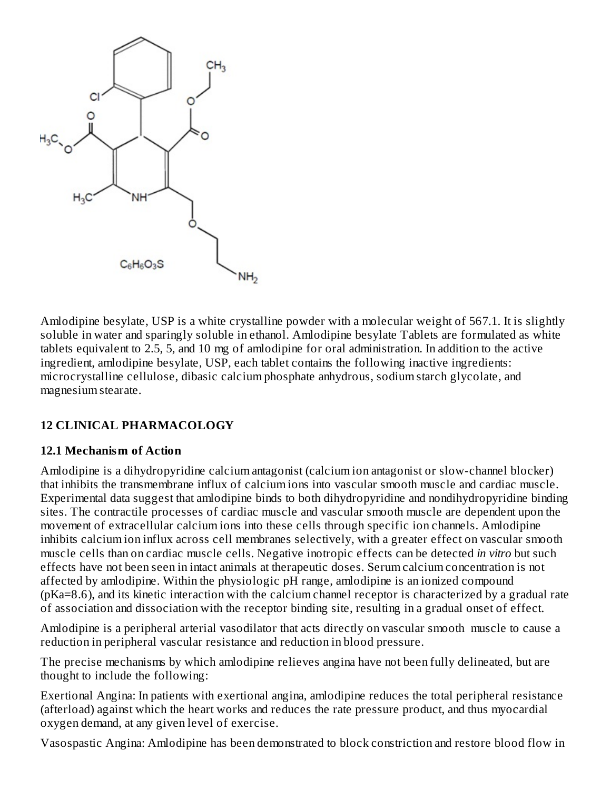

Amlodipine besylate, USP is a white crystalline powder with a molecular weight of 567.1. It is slightly soluble in water and sparingly soluble in ethanol. Amlodipine besylate Tablets are formulated as white tablets equivalent to 2.5, 5, and 10 mg of amlodipine for oral administration. In addition to the active ingredient, amlodipine besylate, USP, each tablet contains the following inactive ingredients: microcrystalline cellulose, dibasic calcium phosphate anhydrous, sodium starch glycolate, and magnesium stearate.

# **12 CLINICAL PHARMACOLOGY**

#### **12.1 Mechanism of Action**

Amlodipine is a dihydropyridine calcium antagonist (calcium ion antagonist or slow-channel blocker) that inhibits the transmembrane influx of calcium ions into vascular smooth muscle and cardiac muscle. Experimental data suggest that amlodipine binds to both dihydropyridine and nondihydropyridine binding sites. The contractile processes of cardiac muscle and vascular smooth muscle are dependent upon the movement of extracellular calcium ions into these cells through specific ion channels. Amlodipine inhibits calcium ion influx across cell membranes selectively, with a greater effect on vascular smooth muscle cells than on cardiac muscle cells. Negative inotropic effects can be detected *in vitro* but such effects have not been seen in intact animals at therapeutic doses. Serum calcium concentration is not affected by amlodipine. Within the physiologic pH range, amlodipine is an ionized compound (pKa=8.6), and its kinetic interaction with the calcium channel receptor is characterized by a gradual rate of association and dissociation with the receptor binding site, resulting in a gradual onset of effect.

Amlodipine is a peripheral arterial vasodilator that acts directly on vascular smooth muscle to cause a reduction in peripheral vascular resistance and reduction in blood pressure.

The precise mechanisms by which amlodipine relieves angina have not been fully delineated, but are thought to include the following:

Exertional Angina: In patients with exertional angina, amlodipine reduces the total peripheral resistance (afterload) against which the heart works and reduces the rate pressure product, and thus myocardial oxygen demand, at any given level of exercise.

Vasospastic Angina: Amlodipine has been demonstrated to block constriction and restore blood flow in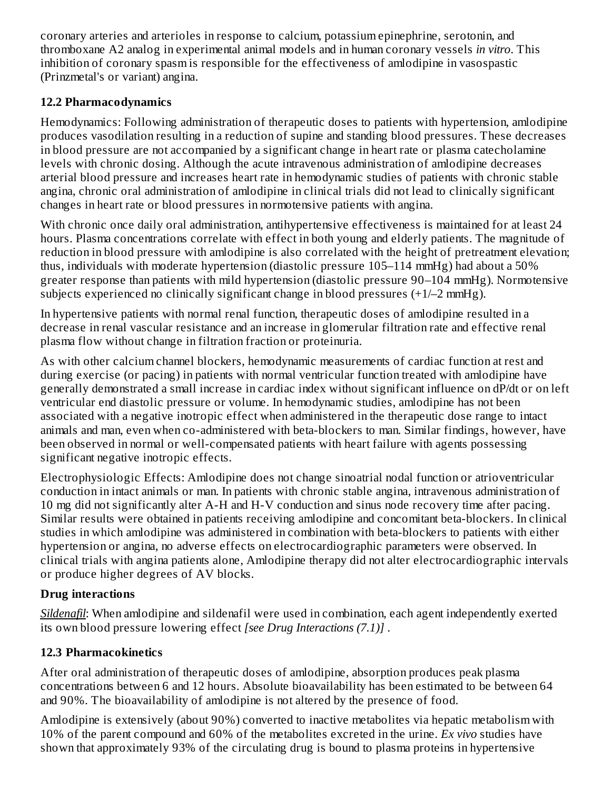coronary arteries and arterioles in response to calcium, potassium epinephrine, serotonin, and thromboxane A2 analog in experimental animal models and in human coronary vessels *in vitro*. This inhibition of coronary spasm is responsible for the effectiveness of amlodipine in vasospastic (Prinzmetal's or variant) angina.

# **12.2 Pharmacodynamics**

Hemodynamics: Following administration of therapeutic doses to patients with hypertension, amlodipine produces vasodilation resulting in a reduction of supine and standing blood pressures. These decreases in blood pressure are not accompanied by a significant change in heart rate or plasma catecholamine levels with chronic dosing. Although the acute intravenous administration of amlodipine decreases arterial blood pressure and increases heart rate in hemodynamic studies of patients with chronic stable angina, chronic oral administration of amlodipine in clinical trials did not lead to clinically significant changes in heart rate or blood pressures in normotensive patients with angina.

With chronic once daily oral administration, antihypertensive effectiveness is maintained for at least 24 hours. Plasma concentrations correlate with effect in both young and elderly patients. The magnitude of reduction in blood pressure with amlodipine is also correlated with the height of pretreatment elevation; thus, individuals with moderate hypertension (diastolic pressure 105–114 mmHg) had about a 50% greater response than patients with mild hypertension (diastolic pressure 90–104 mmHg). Normotensive subjects experienced no clinically significant change in blood pressures (+1/–2 mmHg).

In hypertensive patients with normal renal function, therapeutic doses of amlodipine resulted in a decrease in renal vascular resistance and an increase in glomerular filtration rate and effective renal plasma flow without change in filtration fraction or proteinuria.

As with other calcium channel blockers, hemodynamic measurements of cardiac function at rest and during exercise (or pacing) in patients with normal ventricular function treated with amlodipine have generally demonstrated a small increase in cardiac index without significant influence on dP/dt or on left ventricular end diastolic pressure or volume. In hemodynamic studies, amlodipine has not been associated with a negative inotropic effect when administered in the therapeutic dose range to intact animals and man, even when co-administered with beta-blockers to man. Similar findings, however, have been observed in normal or well-compensated patients with heart failure with agents possessing significant negative inotropic effects.

Electrophysiologic Effects: Amlodipine does not change sinoatrial nodal function or atrioventricular conduction in intact animals or man. In patients with chronic stable angina, intravenous administration of 10 mg did not significantly alter A-H and H-V conduction and sinus node recovery time after pacing. Similar results were obtained in patients receiving amlodipine and concomitant beta-blockers. In clinical studies in which amlodipine was administered in combination with beta-blockers to patients with either hypertension or angina, no adverse effects on electrocardiographic parameters were observed. In clinical trials with angina patients alone, Amlodipine therapy did not alter electrocardiographic intervals or produce higher degrees of AV blocks.

# **Drug interactions**

*Sildenafil*: When amlodipine and sildenafil were used in combination, each agent independently exerted its own blood pressure lowering effect *[see Drug Interactions (7.1)]* .

# **12.3 Pharmacokinetics**

After oral administration of therapeutic doses of amlodipine, absorption produces peak plasma concentrations between 6 and 12 hours. Absolute bioavailability has been estimated to be between 64 and 90%. The bioavailability of amlodipine is not altered by the presence of food.

Amlodipine is extensively (about 90%) converted to inactive metabolites via hepatic metabolism with 10% of the parent compound and 60% of the metabolites excreted in the urine. *Ex vivo* studies have shown that approximately 93% of the circulating drug is bound to plasma proteins in hypertensive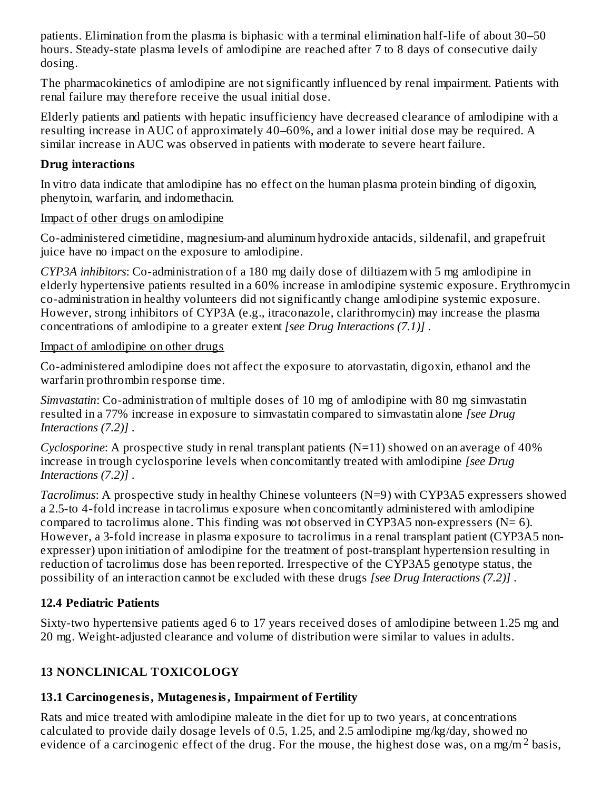patients. Elimination from the plasma is biphasic with a terminal elimination half-life of about 30–50 hours. Steady-state plasma levels of amlodipine are reached after 7 to 8 days of consecutive daily dosing.

The pharmacokinetics of amlodipine are not significantly influenced by renal impairment. Patients with renal failure may therefore receive the usual initial dose.

Elderly patients and patients with hepatic insufficiency have decreased clearance of amlodipine with a resulting increase in AUC of approximately 40–60%, and a lower initial dose may be required. A similar increase in AUC was observed in patients with moderate to severe heart failure.

### **Drug interactions**

In vitro data indicate that amlodipine has no effect on the human plasma protein binding of digoxin, phenytoin, warfarin, and indomethacin.

# Impact of other drugs on amlodipine

Co-administered cimetidine, magnesium-and aluminum hydroxide antacids, sildenafil, and grapefruit juice have no impact on the exposure to amlodipine.

*CYP3A inhibitors*: Co-administration of a 180 mg daily dose of diltiazem with 5 mg amlodipine in elderly hypertensive patients resulted in a 60% increase in amlodipine systemic exposure. Erythromycin co-administration in healthy volunteers did not significantly change amlodipine systemic exposure. However, strong inhibitors of CYP3A (e.g., itraconazole, clarithromycin) may increase the plasma concentrations of amlodipine to a greater extent *[see Drug Interactions (7.1)]* .

# Impact of amlodipine on other drugs

Co-administered amlodipine does not affect the exposure to atorvastatin, digoxin, ethanol and the warfarin prothrombin response time.

*Simvastatin*: Co-administration of multiple doses of 10 mg of amlodipine with 80 mg simvastatin resulted in a 77% increase in exposure to simvastatin compared to simvastatin alone *[see Drug Interactions (7.2)]* .

*Cyclosporine*: A prospective study in renal transplant patients (N=11) showed on an average of 40% increase in trough cyclosporine levels when concomitantly treated with amlodipine *[see Drug Interactions (7.2)]* .

*Tacrolimus*: A prospective study in healthy Chinese volunteers (N=9) with CYP3A5 expressers showed a 2.5-to 4-fold increase in tacrolimus exposure when concomitantly administered with amlodipine compared to tacrolimus alone. This finding was not observed in CYP3A5 non-expressers ( $N= 6$ ). However, a 3-fold increase in plasma exposure to tacrolimus in a renal transplant patient (CYP3A5 nonexpresser) upon initiation of amlodipine for the treatment of post-transplant hypertension resulting in reduction of tacrolimus dose has been reported. Irrespective of the CYP3A5 genotype status, the possibility of an interaction cannot be excluded with these drugs *[see Drug Interactions (7.2)]* .

# **12.4 Pediatric Patients**

Sixty-two hypertensive patients aged 6 to 17 years received doses of amlodipine between 1.25 mg and 20 mg. Weight-adjusted clearance and volume of distribution were similar to values in adults.

# **13 NONCLINICAL TOXICOLOGY**

# **13.1 Carcinogenesis, Mutagenesis, Impairment of Fertility**

Rats and mice treated with amlodipine maleate in the diet for up to two years, at concentrations calculated to provide daily dosage levels of 0.5, 1.25, and 2.5 amlodipine mg/kg/day, showed no evidence of a carcinogenic effect of the drug. For the mouse, the highest dose was, on a mg/m<sup>2</sup> basis,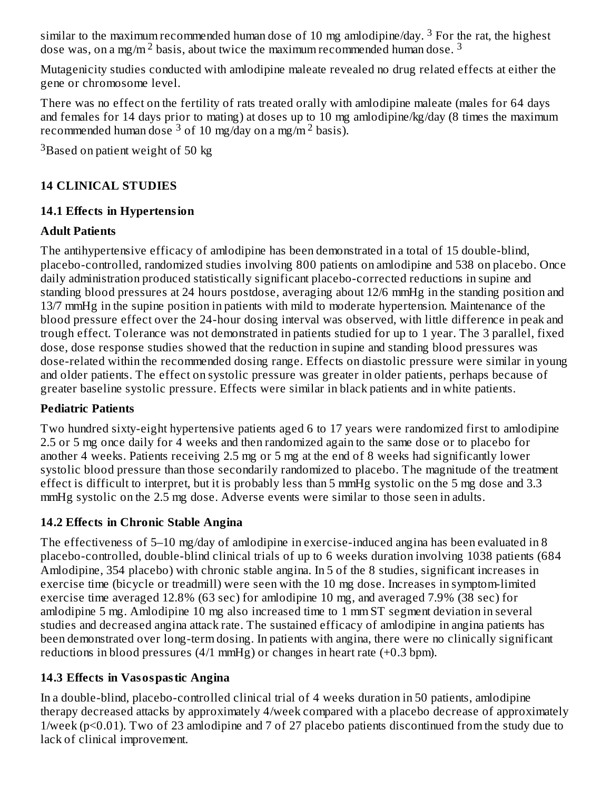similar to the maximum recommended human dose of 10 mg amlodipine/day.  $3$  For the rat, the highest dose was, on a mg/m  $^2$  basis, about twice the maximum recommended human dose.  $^3$ 

Mutagenicity studies conducted with amlodipine maleate revealed no drug related effects at either the gene or chromosome level.

There was no effect on the fertility of rats treated orally with amlodipine maleate (males for 64 days and females for 14 days prior to mating) at doses up to 10 mg amlodipine/kg/day (8 times the maximum recommended human dose  $3$  of 10 mg/day on a mg/m<sup>2</sup> basis).

 $3$ Based on patient weight of 50  $kg$ 

# **14 CLINICAL STUDIES**

### **14.1 Effects in Hypertension**

### **Adult Patients**

The antihypertensive efficacy of amlodipine has been demonstrated in a total of 15 double-blind, placebo-controlled, randomized studies involving 800 patients on amlodipine and 538 on placebo. Once daily administration produced statistically significant placebo-corrected reductions in supine and standing blood pressures at 24 hours postdose, averaging about 12/6 mmHg in the standing position and 13/7 mmHg in the supine position in patients with mild to moderate hypertension. Maintenance of the blood pressure effect over the 24-hour dosing interval was observed, with little difference in peak and trough effect. Tolerance was not demonstrated in patients studied for up to 1 year. The 3 parallel, fixed dose, dose response studies showed that the reduction in supine and standing blood pressures was dose-related within the recommended dosing range. Effects on diastolic pressure were similar in young and older patients. The effect on systolic pressure was greater in older patients, perhaps because of greater baseline systolic pressure. Effects were similar in black patients and in white patients.

#### **Pediatric Patients**

Two hundred sixty-eight hypertensive patients aged 6 to 17 years were randomized first to amlodipine 2.5 or 5 mg once daily for 4 weeks and then randomized again to the same dose or to placebo for another 4 weeks. Patients receiving 2.5 mg or 5 mg at the end of 8 weeks had significantly lower systolic blood pressure than those secondarily randomized to placebo. The magnitude of the treatment effect is difficult to interpret, but it is probably less than 5 mmHg systolic on the 5 mg dose and 3.3 mmHg systolic on the 2.5 mg dose. Adverse events were similar to those seen in adults.

# **14.2 Effects in Chronic Stable Angina**

The effectiveness of 5–10 mg/day of amlodipine in exercise-induced angina has been evaluated in 8 placebo-controlled, double-blind clinical trials of up to 6 weeks duration involving 1038 patients (684 Amlodipine, 354 placebo) with chronic stable angina. In 5 of the 8 studies, significant increases in exercise time (bicycle or treadmill) were seen with the 10 mg dose. Increases in symptom-limited exercise time averaged 12.8% (63 sec) for amlodipine 10 mg, and averaged 7.9% (38 sec) for amlodipine 5 mg. Amlodipine 10 mg also increased time to 1 mm ST segment deviation in several studies and decreased angina attack rate. The sustained efficacy of amlodipine in angina patients has been demonstrated over long-term dosing. In patients with angina, there were no clinically significant reductions in blood pressures (4/1 mmHg) or changes in heart rate (+0.3 bpm).

# **14.3 Effects in Vasospastic Angina**

In a double-blind, placebo-controlled clinical trial of 4 weeks duration in 50 patients, amlodipine therapy decreased attacks by approximately 4/week compared with a placebo decrease of approximately 1/week (p<0.01). Two of 23 amlodipine and 7 of 27 placebo patients discontinued from the study due to lack of clinical improvement.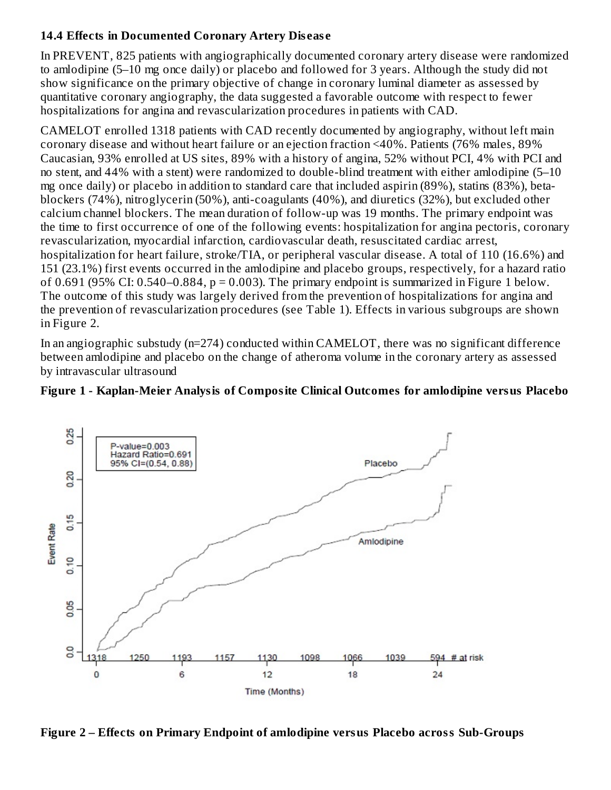### **14.4 Effects in Documented Coronary Artery Dis eas e**

In PREVENT, 825 patients with angiographically documented coronary artery disease were randomized to amlodipine (5–10 mg once daily) or placebo and followed for 3 years. Although the study did not show significance on the primary objective of change in coronary luminal diameter as assessed by quantitative coronary angiography, the data suggested a favorable outcome with respect to fewer hospitalizations for angina and revascularization procedures in patients with CAD.

CAMELOT enrolled 1318 patients with CAD recently documented by angiography, without left main coronary disease and without heart failure or an ejection fraction <40%. Patients (76% males, 89% Caucasian, 93% enrolled at US sites, 89% with a history of angina, 52% without PCI, 4% with PCI and no stent, and 44% with a stent) were randomized to double-blind treatment with either amlodipine (5–10 mg once daily) or placebo in addition to standard care that included aspirin (89%), statins (83%), betablockers (74%), nitroglycerin (50%), anti-coagulants (40%), and diuretics (32%), but excluded other calcium channel blockers. The mean duration of follow-up was 19 months. The primary endpoint was the time to first occurrence of one of the following events: hospitalization for angina pectoris, coronary revascularization, myocardial infarction, cardiovascular death, resuscitated cardiac arrest, hospitalization for heart failure, stroke/TIA, or peripheral vascular disease. A total of 110 (16.6%) and 151 (23.1%) first events occurred in the amlodipine and placebo groups, respectively, for a hazard ratio of 0.691 (95% CI: 0.540–0.884,  $p = 0.003$ ). The primary endpoint is summarized in Figure 1 below. The outcome of this study was largely derived from the prevention of hospitalizations for angina and the prevention of revascularization procedures (see Table 1). Effects in various subgroups are shown in Figure 2.

In an angiographic substudy (n=274) conducted within CAMELOT, there was no significant difference between amlodipine and placebo on the change of atheroma volume in the coronary artery as assessed by intravascular ultrasound



**Figure 1 - Kaplan-Meier Analysis of Composite Clinical Outcomes for amlodipine versus Placebo**

**Figure 2 – Effects on Primary Endpoint of amlodipine versus Placebo across Sub-Groups**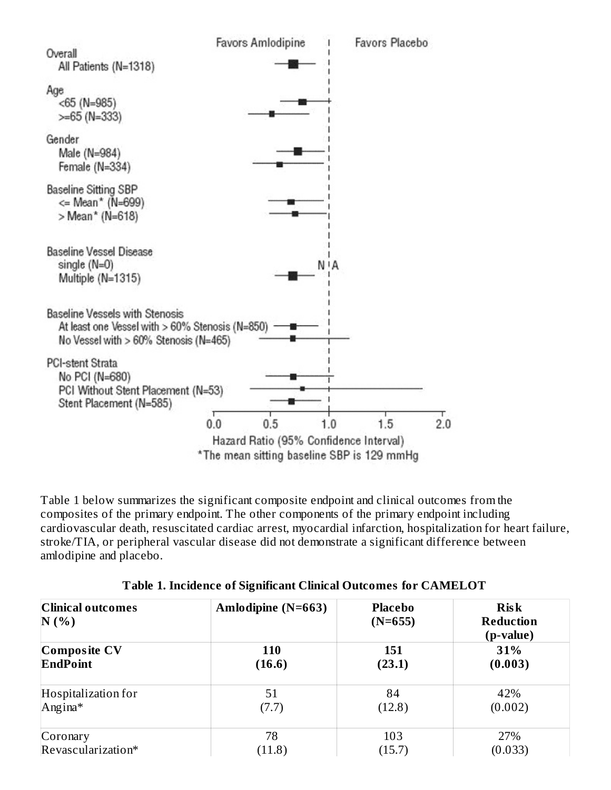

Table 1 below summarizes the significant composite endpoint and clinical outcomes from the composites of the primary endpoint. The other components of the primary endpoint including cardiovascular death, resuscitated cardiac arrest, myocardial infarction, hospitalization for heart failure, stroke/TIA, or peripheral vascular disease did not demonstrate a significant difference between amlodipine and placebo.

| <b>Clinical outcomes</b><br>N(% ) | Amlodipine $(N=663)$ | <b>Placebo</b><br>$(N=655)$ | <b>Risk</b><br><b>Reduction</b><br>(p-value) |
|-----------------------------------|----------------------|-----------------------------|----------------------------------------------|
| <b>Composite CV</b>               | <b>110</b>           | 151                         | 31%                                          |
| <b>EndPoint</b>                   | (16.6)               | (23.1)                      | (0.003)                                      |
| Hospitalization for               | 51                   | 84                          | 42%                                          |
| Angina*                           | (7.7)                | (12.8)                      | (0.002)                                      |
| Coronary                          | 78                   | 103                         | 27%                                          |
| Revascularization*                | (11.8)               | (15.7)                      | (0.033)                                      |

**Table 1. Incidence of Significant Clinical Outcomes for CAMELOT**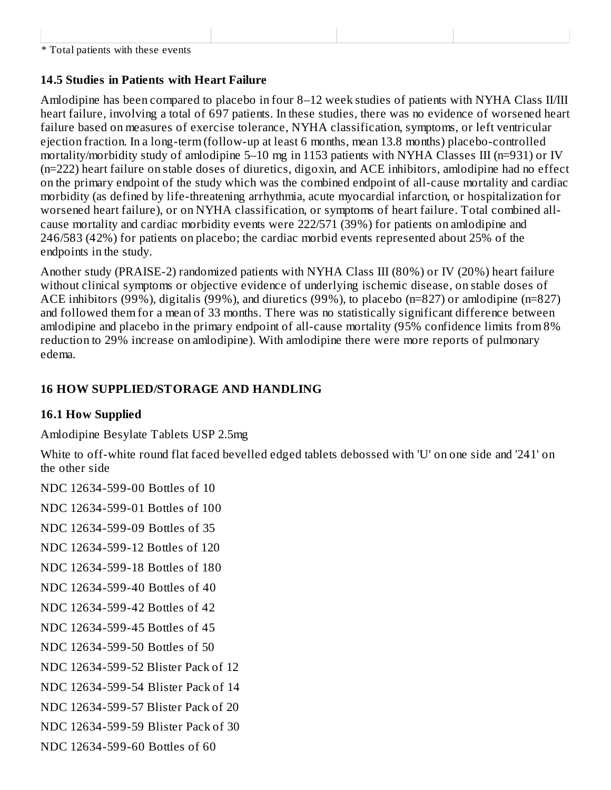| * Total patients with these events |  |  |
|------------------------------------|--|--|

#### **14.5 Studies in Patients with Heart Failure**

Amlodipine has been compared to placebo in four 8–12 week studies of patients with NYHA Class II/III heart failure, involving a total of 697 patients. In these studies, there was no evidence of worsened heart failure based on measures of exercise tolerance, NYHA classification, symptoms, or left ventricular ejection fraction. In a long-term (follow-up at least 6 months, mean 13.8 months) placebo-controlled mortality/morbidity study of amlodipine 5–10 mg in 1153 patients with NYHA Classes III (n=931) or IV (n=222) heart failure on stable doses of diuretics, digoxin, and ACE inhibitors, amlodipine had no effect on the primary endpoint of the study which was the combined endpoint of all-cause mortality and cardiac morbidity (as defined by life-threatening arrhythmia, acute myocardial infarction, or hospitalization for worsened heart failure), or on NYHA classification, or symptoms of heart failure. Total combined allcause mortality and cardiac morbidity events were 222/571 (39%) for patients on amlodipine and 246/583 (42%) for patients on placebo; the cardiac morbid events represented about 25% of the endpoints in the study.

Another study (PRAISE-2) randomized patients with NYHA Class III (80%) or IV (20%) heart failure without clinical symptoms or objective evidence of underlying ischemic disease, on stable doses of ACE inhibitors (99%), digitalis (99%), and diuretics (99%), to placebo (n=827) or amlodipine (n=827) and followed them for a mean of 33 months. There was no statistically significant difference between amlodipine and placebo in the primary endpoint of all-cause mortality (95% confidence limits from 8% reduction to 29% increase on amlodipine). With amlodipine there were more reports of pulmonary edema.

# **16 HOW SUPPLIED/STORAGE AND HANDLING**

# **16.1 How Supplied**

Amlodipine Besylate Tablets USP 2.5mg

White to off-white round flat faced bevelled edged tablets debossed with 'U' on one side and '241' on the other side

NDC 12634-599-00 Bottles of 10

NDC 12634-599-01 Bottles of 100

NDC 12634-599-09 Bottles of 35

NDC 12634-599-12 Bottles of 120

NDC 12634-599-18 Bottles of 180

NDC 12634-599-40 Bottles of 40

NDC 12634-599-42 Bottles of 42

NDC 12634-599-45 Bottles of 45

NDC 12634-599-50 Bottles of 50

NDC 12634-599-52 Blister Pack of 12

NDC 12634-599-54 Blister Pack of 14

NDC 12634-599-57 Blister Pack of 20

NDC 12634-599-59 Blister Pack of 30

NDC 12634-599-60 Bottles of 60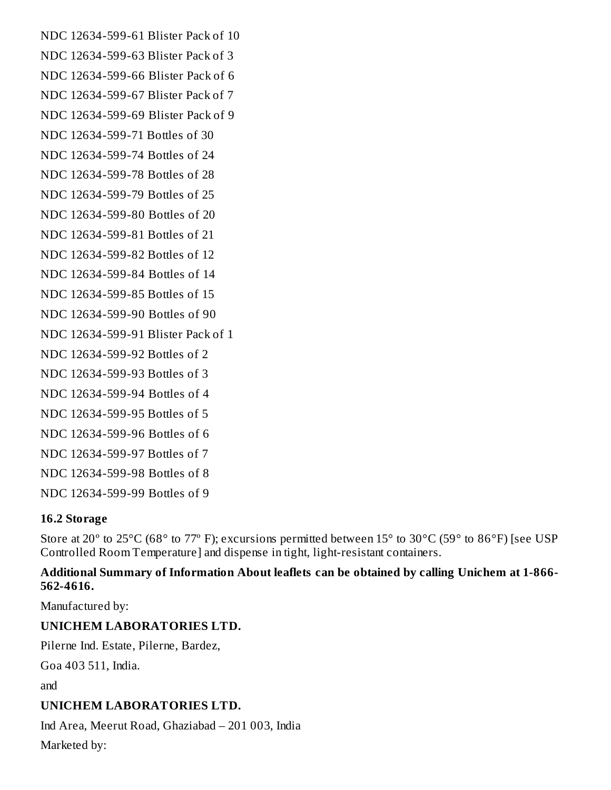NDC 12634-599-61 Blister Pack of 10 NDC 12634-599-63 Blister Pack of 3

NDC 12634-599-66 Blister Pack of 6

NDC 12634-599-67 Blister Pack of 7

NDC 12634-599-69 Blister Pack of 9

NDC 12634-599-71 Bottles of 30

NDC 12634-599-74 Bottles of 24 NDC 12634-599-78 Bottles of 28

NDC 12634-599-79 Bottles of 25

NDC 12634-599-80 Bottles of 20

NDC 12634-599-81 Bottles of 21

NDC 12634-599-82 Bottles of 12 NDC 12634-599-84 Bottles of 14

NDC 12634-599-85 Bottles of 15

NDC 12634-599-90 Bottles of 90

NDC 12634-599-91 Blister Pack of 1

NDC 12634-599-92 Bottles of 2

NDC 12634-599-93 Bottles of 3

NDC 12634-599-94 Bottles of 4

NDC 12634-599-95 Bottles of 5

NDC 12634-599-96 Bottles of 6

NDC 12634-599-97 Bottles of 7

NDC 12634-599-98 Bottles of 8

NDC 12634-599-99 Bottles of 9

#### **16.2 Storage**

Store at 20º to 25°C (68° to 77º F); excursions permitted between 15° to 30°C (59° to 86°F) [see USP Controlled Room Temperature] and dispense in tight, light-resistant containers.

**Additional Summary of Information About leaflets can be obtained by calling Unichem at 1-866- 562-4616.**

Manufactured by:

#### **UNICHEM LABORATORIES LTD.**

Pilerne Ind. Estate, Pilerne, Bardez,

Goa 403 511, India.

and

# **UNICHEM LABORATORIES LTD.**

Ind Area, Meerut Road, Ghaziabad – 201 003, India

Marketed by: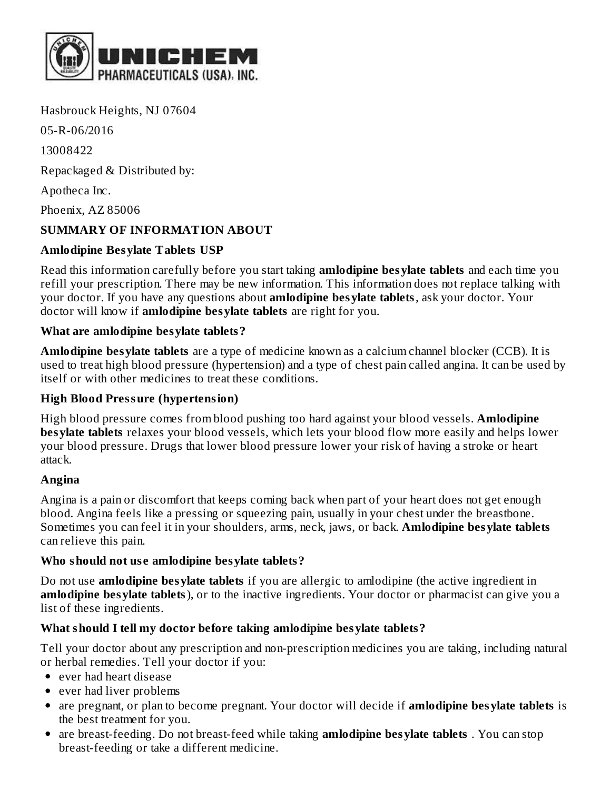

Hasbrouck Heights, NJ 07604 05-R-06/2016

13008422

Repackaged & Distributed by:

Apotheca Inc.

Phoenix, AZ 85006

# **SUMMARY OF INFORMATION ABOUT**

# **Amlodipine Besylate Tablets USP**

Read this information carefully before you start taking **amlodipine besylate tablets** and each time you refill your prescription. There may be new information. This information does not replace talking with your doctor. If you have any questions about **amlodipine besylate tablets**, ask your doctor. Your doctor will know if **amlodipine besylate tablets** are right for you.

### **What are amlodipine besylate tablets?**

**Amlodipine besylate tablets** are a type of medicine known as a calcium channel blocker (CCB). It is used to treat high blood pressure (hypertension) and a type of chest pain called angina. It can be used by itself or with other medicines to treat these conditions.

### **High Blood Pressure (hypertension)**

High blood pressure comes from blood pushing too hard against your blood vessels. **Amlodipine besylate tablets** relaxes your blood vessels, which lets your blood flow more easily and helps lower your blood pressure. Drugs that lower blood pressure lower your risk of having a stroke or heart attack.

#### **Angina**

Angina is a pain or discomfort that keeps coming back when part of your heart does not get enough blood. Angina feels like a pressing or squeezing pain, usually in your chest under the breastbone. Sometimes you can feel it in your shoulders, arms, neck, jaws, or back. **Amlodipine besylate tablets** can relieve this pain.

#### **Who should not us e amlodipine besylate tablets?**

Do not use **amlodipine besylate tablets** if you are allergic to amlodipine (the active ingredient in **amlodipine besylate tablets**), or to the inactive ingredients. Your doctor or pharmacist can give you a list of these ingredients.

# **What should I tell my doctor before taking amlodipine besylate tablets?**

Tell your doctor about any prescription and non-prescription medicines you are taking, including natural or herbal remedies. Tell your doctor if you:

- ever had heart disease
- ever had liver problems
- are pregnant, or plan to become pregnant. Your doctor will decide if **amlodipine besylate tablets** is the best treatment for you.
- are breast-feeding. Do not breast-feed while taking **amlodipine besylate tablets** . You can stop breast-feeding or take a different medicine.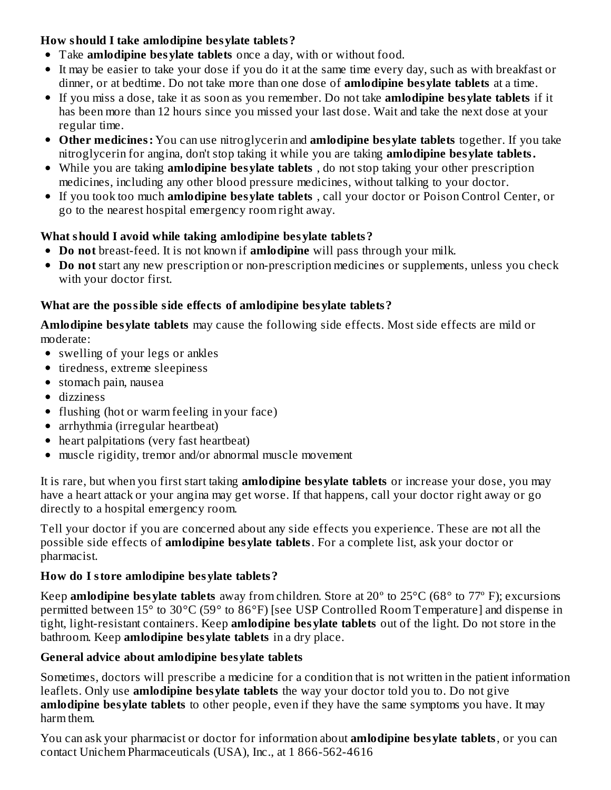#### **How should I take amlodipine besylate tablets?**

- Take **amlodipine besylate tablets** once a day, with or without food.
- It may be easier to take your dose if you do it at the same time every day, such as with breakfast or dinner, or at bedtime. Do not take more than one dose of **amlodipine besylate tablets** at a time.
- If you miss a dose, take it as soon as you remember. Do not take **amlodipine besylate tablets** if it has been more than 12 hours since you missed your last dose. Wait and take the next dose at your regular time.
- **Other medicines:** You can use nitroglycerin and **amlodipine besylate tablets** together. If you take nitroglycerin for angina, don't stop taking it while you are taking **amlodipine besylate tablets.**
- While you are taking **amlodipine besylate tablets** , do not stop taking your other prescription medicines, including any other blood pressure medicines, without talking to your doctor.
- If you took too much **amlodipine besylate tablets** , call your doctor or Poison Control Center, or go to the nearest hospital emergency room right away.

# **What should I avoid while taking amlodipine besylate tablets?**

- **Do not** breast-feed. It is not known if **amlodipine** will pass through your milk.
- **Do not** start any new prescription or non-prescription medicines or supplements, unless you check with your doctor first.

# **What are the possible side effects of amlodipine besylate tablets?**

**Amlodipine besylate tablets** may cause the following side effects. Most side effects are mild or moderate:

- swelling of your legs or ankles
- tiredness, extreme sleepiness
- stomach pain, nausea
- dizziness
- flushing (hot or warm feeling in your face)
- arrhythmia (irregular heartbeat)
- heart palpitations (very fast heartbeat)
- muscle rigidity, tremor and/or abnormal muscle movement

It is rare, but when you first start taking **amlodipine besylate tablets** or increase your dose, you may have a heart attack or your angina may get worse. If that happens, call your doctor right away or go directly to a hospital emergency room.

Tell your doctor if you are concerned about any side effects you experience. These are not all the possible side effects of **amlodipine besylate tablets**. For a complete list, ask your doctor or pharmacist.

# **How do I store amlodipine besylate tablets?**

Keep **amlodipine besylate tablets** away from children. Store at 20º to 25°C (68° to 77º F); excursions permitted between 15° to 30°C (59° to 86°F) [see USP Controlled Room Temperature] and dispense in tight, light-resistant containers. Keep **amlodipine besylate tablets** out of the light. Do not store in the bathroom. Keep **amlodipine besylate tablets** in a dry place.

# **General advice about amlodipine besylate tablets**

Sometimes, doctors will prescribe a medicine for a condition that is not written in the patient information leaflets. Only use **amlodipine besylate tablets** the way your doctor told you to. Do not give **amlodipine besylate tablets** to other people, even if they have the same symptoms you have. It may harm them.

You can ask your pharmacist or doctor for information about **amlodipine besylate tablets**, or you can contact Unichem Pharmaceuticals (USA), Inc., at 1 866-562-4616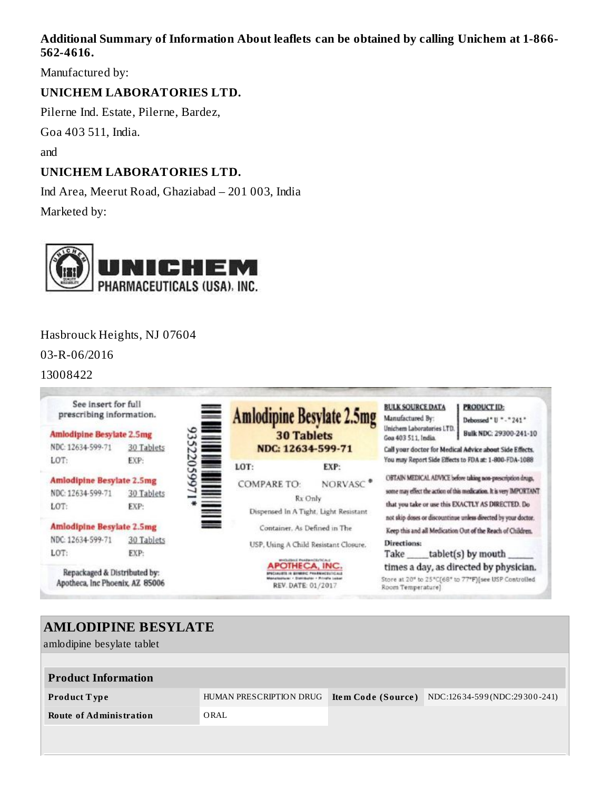#### **Additional Summary of Information About leaflets can be obtained by calling Unichem at 1-866- 562-4616.**

Manufactured by:

### **UNICHEM LABORATORIES LTD.**

Pilerne Ind. Estate, Pilerne, Bardez,

Goa 403 511, India.

and

### **UNICHEM LABORATORIES LTD.**

Ind Area, Meerut Road, Ghaziabad – 201 003, India Marketed by:



#### Hasbrouck Heights, NJ 07604

#### 03-R-06/2016

#### 13008422



# **AMLODIPINE BESYLATE**

amlodipine besylate tablet

| <b>Product Information</b>     |                         |                    |                              |
|--------------------------------|-------------------------|--------------------|------------------------------|
| <b>Product Type</b>            | HUMAN PRESCRIPTION DRUG | Item Code (Source) | NDC:12634-599(NDC:29300-241) |
| <b>Route of Administration</b> | ORAL                    |                    |                              |
|                                |                         |                    |                              |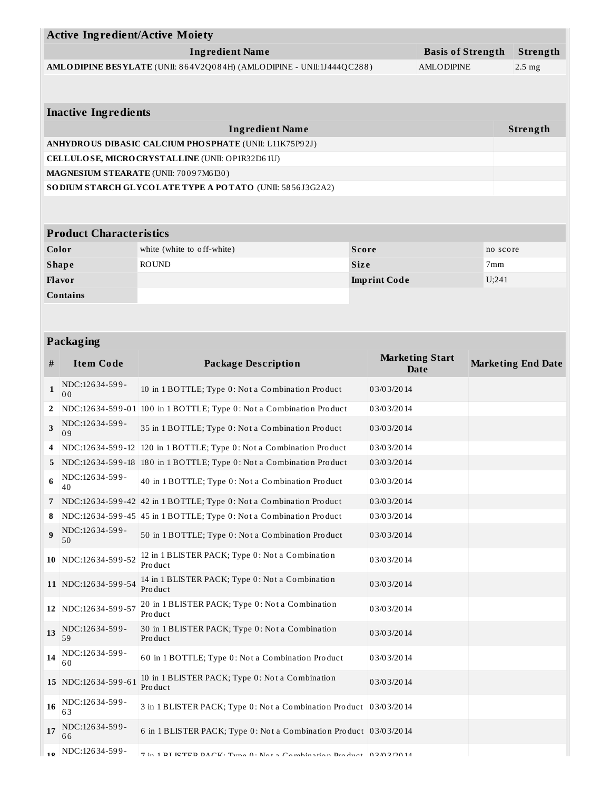|                                                    | <b>Active Ingredient/Active Moiety</b> |                                                                       |                     |                                       |          |                           |
|----------------------------------------------------|----------------------------------------|-----------------------------------------------------------------------|---------------------|---------------------------------------|----------|---------------------------|
| <b>Ingredient Name</b><br><b>Basis of Strength</b> |                                        |                                                                       |                     |                                       |          | Strength                  |
|                                                    |                                        | AMLODIPINE BESYLATE (UNII: 864V2Q084H) (AMLODIPINE - UNII:1J444QC288) |                     | <b>AMLODIPINE</b>                     |          | 2.5 <sub>mg</sub>         |
|                                                    |                                        |                                                                       |                     |                                       |          |                           |
|                                                    | <b>Inactive Ingredients</b>            |                                                                       |                     |                                       |          |                           |
|                                                    |                                        | <b>Ingredient Name</b>                                                |                     |                                       |          | Strength                  |
|                                                    |                                        | ANHYDROUS DIBASIC CALCIUM PHOSPHATE (UNII: L11K75P92J)                |                     |                                       |          |                           |
|                                                    |                                        | CELLULOSE, MICRO CRYSTALLINE (UNII: OP1R32D61U)                       |                     |                                       |          |                           |
|                                                    |                                        | MAGNESIUM STEARATE (UNII: 70097M6I30)                                 |                     |                                       |          |                           |
|                                                    |                                        | SODIUM STARCH GLYCOLATE TYPE A POTATO (UNII: 5856J3G2A2)              |                     |                                       |          |                           |
|                                                    |                                        |                                                                       |                     |                                       |          |                           |
|                                                    | <b>Product Characteristics</b>         |                                                                       |                     |                                       |          |                           |
|                                                    | Color                                  | white (white to off-white)                                            | <b>Score</b>        |                                       | no score |                           |
|                                                    | <b>Shape</b>                           | <b>ROUND</b>                                                          | <b>Size</b>         |                                       | 7mm      |                           |
|                                                    | Flavor                                 |                                                                       | <b>Imprint Code</b> |                                       | U;241    |                           |
|                                                    | <b>Contains</b>                        |                                                                       |                     |                                       |          |                           |
|                                                    |                                        |                                                                       |                     |                                       |          |                           |
|                                                    |                                        |                                                                       |                     |                                       |          |                           |
|                                                    | Packaging                              |                                                                       |                     |                                       |          |                           |
| #                                                  | <b>Item Code</b>                       | <b>Package Description</b>                                            |                     | <b>Marketing Start</b><br><b>Date</b> |          | <b>Marketing End Date</b> |
| 1                                                  | NDC:12634-599-<br>0 <sub>0</sub>       | 10 in 1 BOTTLE; Type 0: Not a Combination Product                     | 03/03/2014          |                                       |          |                           |
| $\overline{2}$                                     |                                        | NDC:12634-599-01 100 in 1 BOTTLE; Type 0: Not a Combination Product   | 03/03/2014          |                                       |          |                           |
| 3                                                  | NDC:12634-599-<br>09                   | 35 in 1 BOTTLE; Type 0: Not a Combination Product                     | 03/03/2014          |                                       |          |                           |
| 4                                                  |                                        | NDC:12634-599-12 120 in 1 BOTTLE; Type 0: Not a Combination Product   | 03/03/2014          |                                       |          |                           |
| 5                                                  |                                        | NDC:12634-599-18 180 in 1 BOTTLE; Type 0: Not a Combination Product   | 03/03/2014          |                                       |          |                           |
| 6                                                  | NDC:12634-599-<br>40                   | 40 in 1 BOTTLE; Type 0: Not a Combination Product                     | 03/03/2014          |                                       |          |                           |
| 7                                                  |                                        | NDC:12634-599-42 42 in 1 BOTTLE; Type 0: Not a Combination Product    | 03/03/2014          |                                       |          |                           |
| 8                                                  |                                        | NDC:12634-599-45   45 in 1 BOTTLE; Type 0: Not a Combination Product  | 03/03/2014          |                                       |          |                           |
| 9                                                  | NDC:12634-599-<br>50                   | 50 in 1 BOTTLE; Type 0: Not a Combination Product                     | 03/03/2014          |                                       |          |                           |
|                                                    | 10 NDC:12634-599-52                    | 12 in 1 BLISTER PACK; Type 0: Not a Combination<br>Pro duct           | 03/03/2014          |                                       |          |                           |
|                                                    | 11 NDC:12634-599-54                    | 14 in 1 BLISTER PACK; Type 0: Not a Combination<br>Product            | 03/03/2014          |                                       |          |                           |
|                                                    | 12   NDC:12634-599-57                  | 20 in 1 BLISTER PACK; Type 0: Not a Combination<br>Pro duct           | 03/03/2014          |                                       |          |                           |
| 13                                                 | NDC:12634-599-<br>59                   | 30 in 1 BLISTER PACK; Type 0: Not a Combination<br>Pro duct           | 03/03/2014          |                                       |          |                           |
| 14                                                 | NDC:12634-599-<br>60                   | 60 in 1 BOTTLE; Type 0: Not a Combination Product                     | 03/03/2014          |                                       |          |                           |
|                                                    | 15 NDC:12634-599-61                    | 10 in 1 BLISTER PACK; Type 0: Not a Combination<br>Product            | 03/03/2014          |                                       |          |                           |
| 16                                                 | NDC:12634-599-<br>63                   | 3 in 1 BLISTER PACK; Type 0: Not a Combination Product 03/03/2014     |                     |                                       |          |                           |
| 17                                                 | NDC:12634-599-<br>66                   | 6 in 1 BLISTER PACK; Type 0: Not a Combination Product 03/03/2014     |                     |                                       |          |                           |
| 1 Q                                                | NDC:12634-599-                         | 7 in 1 RI KTED DACK. Tung 0. Not a Combination Droduct 03/03/2001/    |                     |                                       |          |                           |